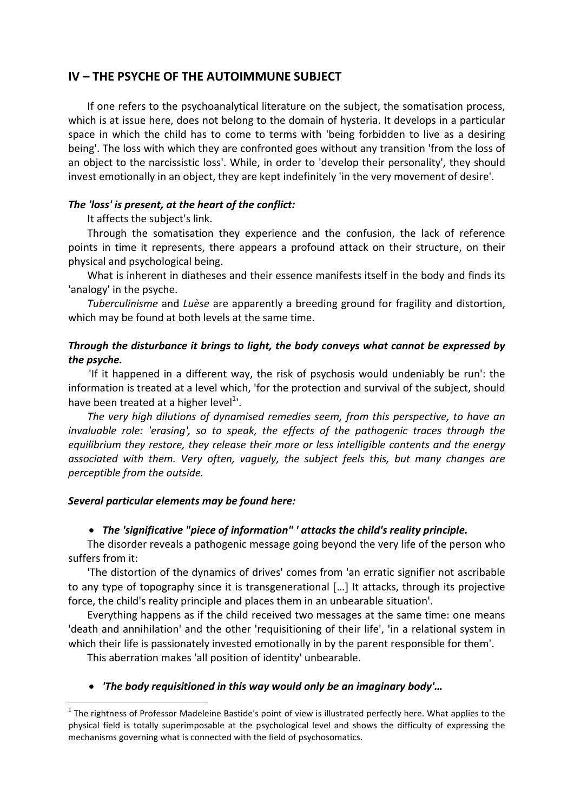# IV – THE PSYCHE OF THE AUTOIMMUNE SUBJECT

If one refers to the psychoanalytical literature on the subject, the somatisation process, which is at issue here, does not belong to the domain of hysteria. It develops in a particular space in which the child has to come to terms with 'being forbidden to live as a desiring being'. The loss with which they are confronted goes without any transition 'from the loss of an object to the narcissistic loss'. While, in order to 'develop their personality', they should invest emotionally in an object, they are kept indefinitely 'in the very movement of desire'.

## The 'loss' is present, at the heart of the conflict:

It affects the subject's link.

Through the somatisation they experience and the confusion, the lack of reference points in time it represents, there appears a profound attack on their structure, on their physical and psychological being.

What is inherent in diatheses and their essence manifests itself in the body and finds its 'analogy' in the psyche.

Tuberculinisme and Luèse are apparently a breeding ground for fragility and distortion, which may be found at both levels at the same time.

# Through the disturbance it brings to light, the body conveys what cannot be expressed by the psyche.

'If it happened in a different way, the risk of psychosis would undeniably be run': the information is treated at a level which, 'for the protection and survival of the subject, should have been treated at a higher level<sup>1</sup>'.

The very high dilutions of dynamised remedies seem, from this perspective, to have an invaluable role: 'erasing', so to speak, the effects of the pathogenic traces through the equilibrium they restore, they release their more or less intelligible contents and the energy associated with them. Very often, vaguely, the subject feels this, but many changes are perceptible from the outside.

## Several particular elements may be found here:

i

# The 'significative "piece of information" ' attacks the child's reality principle.

The disorder reveals a pathogenic message going beyond the very life of the person who suffers from it:

'The distortion of the dynamics of drives' comes from 'an erratic signifier not ascribable to any type of topography since it is transgenerational [...] It attacks, through its projective force, the child's reality principle and places them in an unbearable situation'.

Everything happens as if the child received two messages at the same time: one means 'death and annihilation' and the other 'requisitioning of their life', 'in a relational system in which their life is passionately invested emotionally in by the parent responsible for them'.

This aberration makes 'all position of identity' unbearable.

# 'The body requisitioned in this way would only be an imaginary body'…

 $^1$  The rightness of Professor Madeleine Bastide's point of view is illustrated perfectly here. What applies to the physical field is totally superimposable at the psychological level and shows the difficulty of expressing the mechanisms governing what is connected with the field of psychosomatics.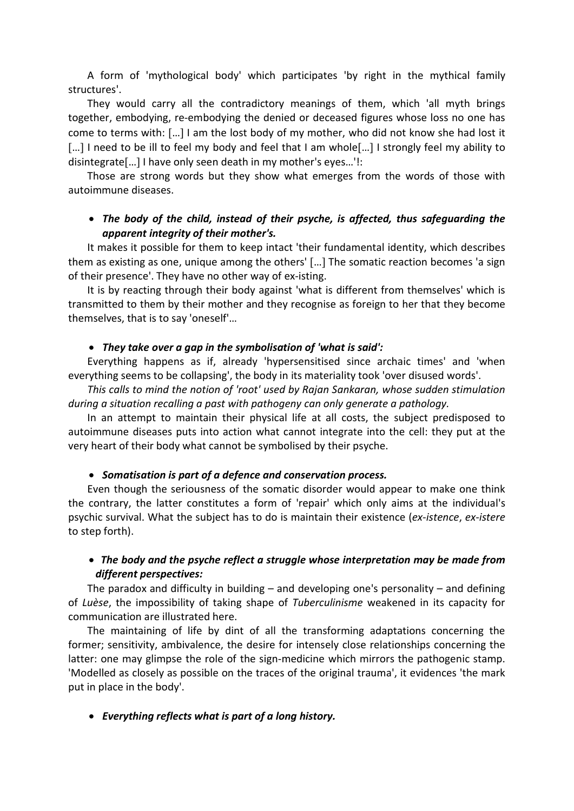A form of 'mythological body' which participates 'by right in the mythical family structures'.

They would carry all the contradictory meanings of them, which 'all myth brings together, embodying, re-embodying the denied or deceased figures whose loss no one has come to terms with: … I am the lost body of my mother, who did not know she had lost it [...] I need to be ill to feel my body and feel that I am whole[...] I strongly feel my ability to disintegrate… I have only seen death in my mother's eyes…'!:

Those are strong words but they show what emerges from the words of those with autoimmune diseases.

# The body of the child, instead of their psyche, is affected, thus safeguarding the apparent integrity of their mother's.

It makes it possible for them to keep intact 'their fundamental identity, which describes them as existing as one, unique among the others' [...] The somatic reaction becomes 'a sign of their presence'. They have no other way of ex-isting.

It is by reacting through their body against 'what is different from themselves' which is transmitted to them by their mother and they recognise as foreign to her that they become themselves, that is to say 'oneself'…

### They take over a gap in the symbolisation of 'what is said':

Everything happens as if, already 'hypersensitised since archaic times' and 'when everything seems to be collapsing', the body in its materiality took 'over disused words'.

This calls to mind the notion of 'root' used by Rajan Sankaran, whose sudden stimulation during a situation recalling a past with pathogeny can only generate a pathology.

In an attempt to maintain their physical life at all costs, the subject predisposed to autoimmune diseases puts into action what cannot integrate into the cell: they put at the very heart of their body what cannot be symbolised by their psyche.

### • Somatisation is part of a defence and conservation process.

Even though the seriousness of the somatic disorder would appear to make one think the contrary, the latter constitutes a form of 'repair' which only aims at the individual's psychic survival. What the subject has to do is maintain their existence (ex-istence, ex-istere to step forth).

## • The body and the psyche reflect a struggle whose interpretation may be made from different perspectives:

The paradox and difficulty in building – and developing one's personality – and defining of Luèse, the impossibility of taking shape of Tuberculinisme weakened in its capacity for communication are illustrated here.

The maintaining of life by dint of all the transforming adaptations concerning the former; sensitivity, ambivalence, the desire for intensely close relationships concerning the latter: one may glimpse the role of the sign-medicine which mirrors the pathogenic stamp. 'Modelled as closely as possible on the traces of the original trauma', it evidences 'the mark put in place in the body'.

## Everything reflects what is part of a long history.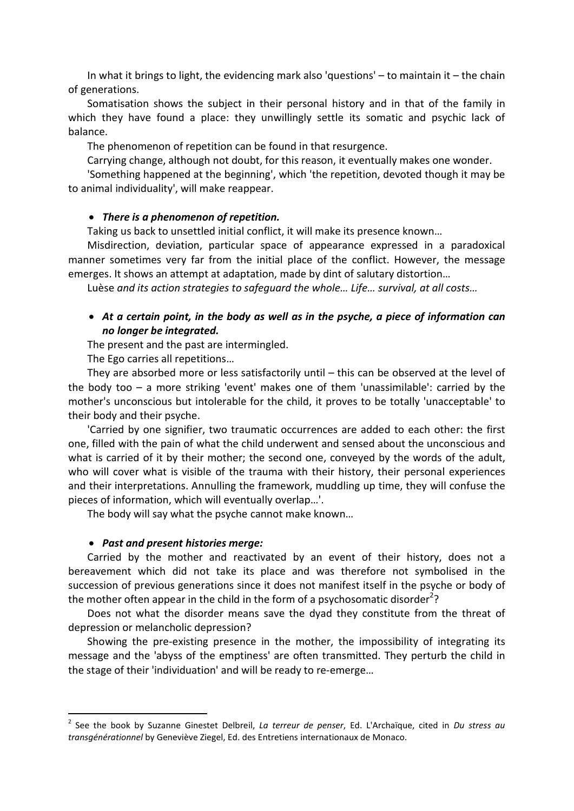In what it brings to light, the evidencing mark also 'questions' – to maintain it – the chain of generations.

Somatisation shows the subject in their personal history and in that of the family in which they have found a place: they unwillingly settle its somatic and psychic lack of balance.

The phenomenon of repetition can be found in that resurgence.

Carrying change, although not doubt, for this reason, it eventually makes one wonder.

'Something happened at the beginning', which 'the repetition, devoted though it may be to animal individuality', will make reappear.

#### • There is a phenomenon of repetition.

Taking us back to unsettled initial conflict, it will make its presence known…

Misdirection, deviation, particular space of appearance expressed in a paradoxical manner sometimes very far from the initial place of the conflict. However, the message emerges. It shows an attempt at adaptation, made by dint of salutary distortion…

Luèse and its action strategies to safeguard the whole… Life… survival, at all costs…

### At a certain point, in the body as well as in the psyche, a piece of information can no longer be integrated.

The present and the past are intermingled.

The Ego carries all repetitions…

They are absorbed more or less satisfactorily until – this can be observed at the level of the body too – a more striking 'event' makes one of them 'unassimilable': carried by the mother's unconscious but intolerable for the child, it proves to be totally 'unacceptable' to their body and their psyche.

'Carried by one signifier, two traumatic occurrences are added to each other: the first one, filled with the pain of what the child underwent and sensed about the unconscious and what is carried of it by their mother; the second one, conveyed by the words of the adult, who will cover what is visible of the trauma with their history, their personal experiences and their interpretations. Annulling the framework, muddling up time, they will confuse the pieces of information, which will eventually overlap…'.

The body will say what the psyche cannot make known…

#### • Past and present histories merge:

i

Carried by the mother and reactivated by an event of their history, does not a bereavement which did not take its place and was therefore not symbolised in the succession of previous generations since it does not manifest itself in the psyche or body of the mother often appear in the child in the form of a psychosomatic disorder<sup>2</sup>?

Does not what the disorder means save the dyad they constitute from the threat of depression or melancholic depression?

Showing the pre-existing presence in the mother, the impossibility of integrating its message and the 'abyss of the emptiness' are often transmitted. They perturb the child in the stage of their 'individuation' and will be ready to re-emerge…

<sup>&</sup>lt;sup>2</sup> See the book by Suzanne Ginestet Delbreil, La terreur de penser, Ed. L'Archaïque, cited in Du stress au transgénérationnel by Geneviève Ziegel, Ed. des Entretiens internationaux de Monaco.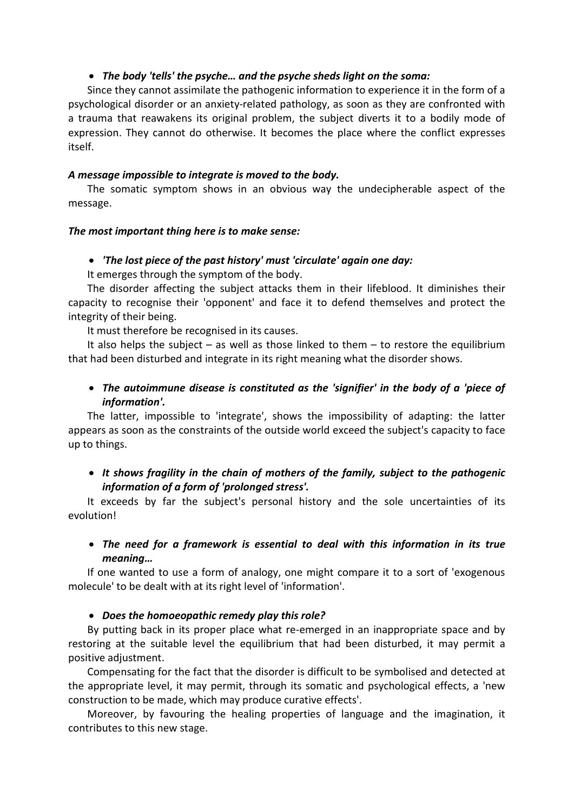## The body 'tells' the psyche… and the psyche sheds light on the soma:

Since they cannot assimilate the pathogenic information to experience it in the form of a psychological disorder or an anxiety-related pathology, as soon as they are confronted with a trauma that reawakens its original problem, the subject diverts it to a bodily mode of expression. They cannot do otherwise. It becomes the place where the conflict expresses itself.

### A message impossible to integrate is moved to the body.

The somatic symptom shows in an obvious way the undecipherable aspect of the message.

### The most important thing here is to make sense:

### 'The lost piece of the past history' must 'circulate' again one day:

It emerges through the symptom of the body.

The disorder affecting the subject attacks them in their lifeblood. It diminishes their capacity to recognise their 'opponent' and face it to defend themselves and protect the integrity of their being.

It must therefore be recognised in its causes.

It also helps the subject – as well as those linked to them – to restore the equilibrium that had been disturbed and integrate in its right meaning what the disorder shows.

# • The autoimmune disease is constituted as the 'signifier' in the body of a 'piece of information'.

The latter, impossible to 'integrate', shows the impossibility of adapting: the latter appears as soon as the constraints of the outside world exceed the subject's capacity to face up to things.

## • It shows fragility in the chain of mothers of the family, subject to the pathogenic information of a form of 'prolonged stress'.

It exceeds by far the subject's personal history and the sole uncertainties of its evolution!

# The need for a framework is essential to deal with this information in its true meaning…

If one wanted to use a form of analogy, one might compare it to a sort of 'exogenous molecule' to be dealt with at its right level of 'information'.

## • Does the homoeopathic remedy play this role?

By putting back in its proper place what re-emerged in an inappropriate space and by restoring at the suitable level the equilibrium that had been disturbed, it may permit a positive adjustment.

Compensating for the fact that the disorder is difficult to be symbolised and detected at the appropriate level, it may permit, through its somatic and psychological effects, a 'new construction to be made, which may produce curative effects'.

Moreover, by favouring the healing properties of language and the imagination, it contributes to this new stage.